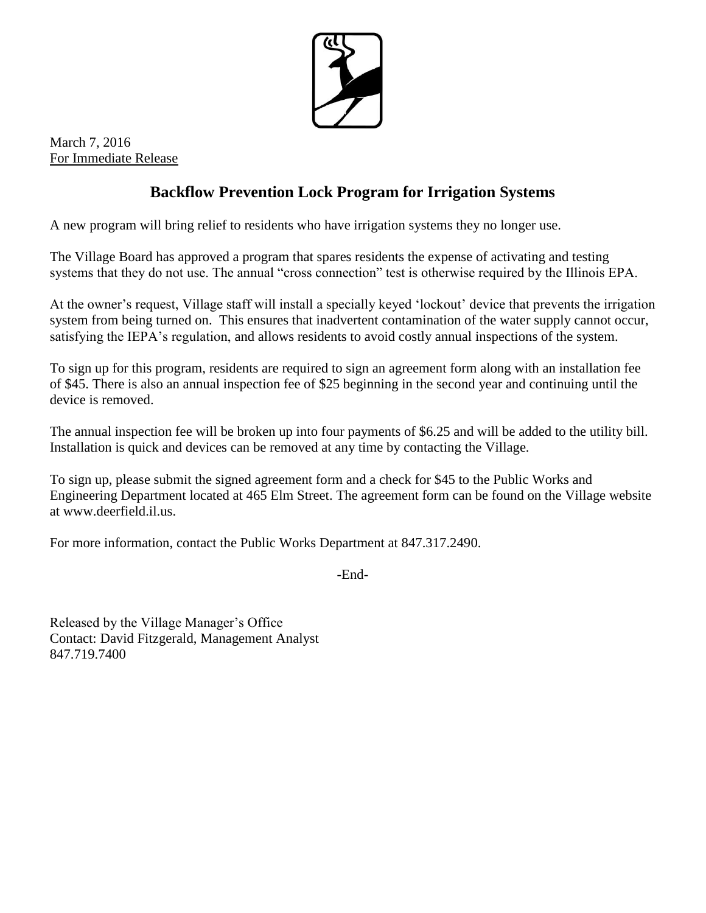

March 7, 2016 For Immediate Release

## **Backflow Prevention Lock Program for Irrigation Systems**

A new program will bring relief to residents who have irrigation systems they no longer use.

The Village Board has approved a program that spares residents the expense of activating and testing systems that they do not use. The annual "cross connection" test is otherwise required by the Illinois EPA.

At the owner's request, Village staff will install a specially keyed 'lockout' device that prevents the irrigation system from being turned on. This ensures that inadvertent contamination of the water supply cannot occur, satisfying the IEPA's regulation, and allows residents to avoid costly annual inspections of the system.

To sign up for this program, residents are required to sign an agreement form along with an installation fee of \$45. There is also an annual inspection fee of \$25 beginning in the second year and continuing until the device is removed.

The annual inspection fee will be broken up into four payments of \$6.25 and will be added to the utility bill. Installation is quick and devices can be removed at any time by contacting the Village.

To sign up, please submit the signed agreement form and a check for \$45 to the Public Works and Engineering Department located at 465 Elm Street. The agreement form can be found on the Village website at www.deerfield.il.us.

For more information, contact the Public Works Department at 847.317.2490.

-End-

Released by the Village Manager's Office Contact: David Fitzgerald, Management Analyst 847.719.7400